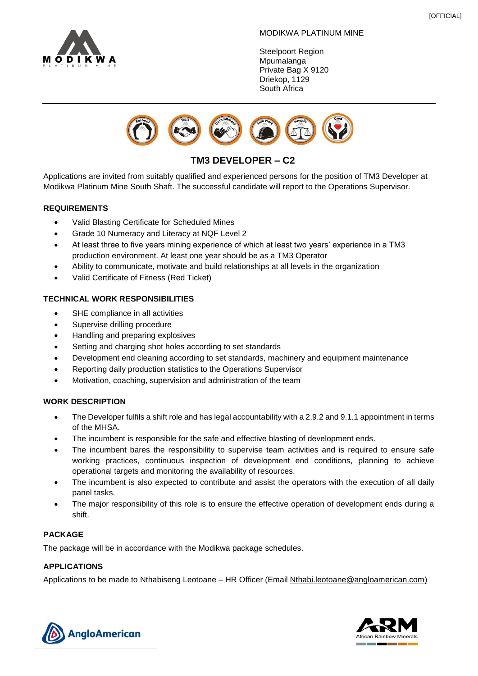

#### MODIKWA PLATINUM MINE

Steelpoort Region **Mpumalanga** Private Bag X 9120 Driekop, 1129 South Africa



# **TM3 DEVELOPER – C2**

Applications are invited from suitably qualified and experienced persons for the position of TM3 Developer at Modikwa Platinum Mine South Shaft. The successful candidate will report to the Operations Supervisor.

### **REQUIREMENTS**

- Valid Blasting Certificate for Scheduled Mines
- Grade 10 Numeracy and Literacy at NQF Level 2
- At least three to five years mining experience of which at least two years' experience in a TM3 production environment. At least one year should be as a TM3 Operator
- Ability to communicate, motivate and build relationships at all levels in the organization
- Valid Certificate of Fitness (Red Ticket)

# **TECHNICAL WORK RESPONSIBILITIES**

- SHE compliance in all activities
- Supervise drilling procedure
- Handling and preparing explosives
- Setting and charging shot holes according to set standards
- Development end cleaning according to set standards, machinery and equipment maintenance
- Reporting daily production statistics to the Operations Supervisor
- Motivation, coaching, supervision and administration of the team

### **WORK DESCRIPTION**

- The Developer fulfils a shift role and has legal accountability with a 2.9.2 and 9.1.1 appointment in terms of the MHSA.
- The incumbent is responsible for the safe and effective blasting of development ends.
- The incumbent bares the responsibility to supervise team activities and is required to ensure safe working practices, continuous inspection of development end conditions, planning to achieve operational targets and monitoring the availability of resources.
- The incumbent is also expected to contribute and assist the operators with the execution of all daily panel tasks.
- The major responsibility of this role is to ensure the effective operation of development ends during a shift.

### **PACKAGE**

The package will be in accordance with the Modikwa package schedules.

# **APPLICATIONS**

Applications to be made to Nthabiseng Leotoane – HR Officer (Email [Nthabi.leotoane@angloamerican.com\)](mailto:Nthabi.leotoane@angloamerican.com)